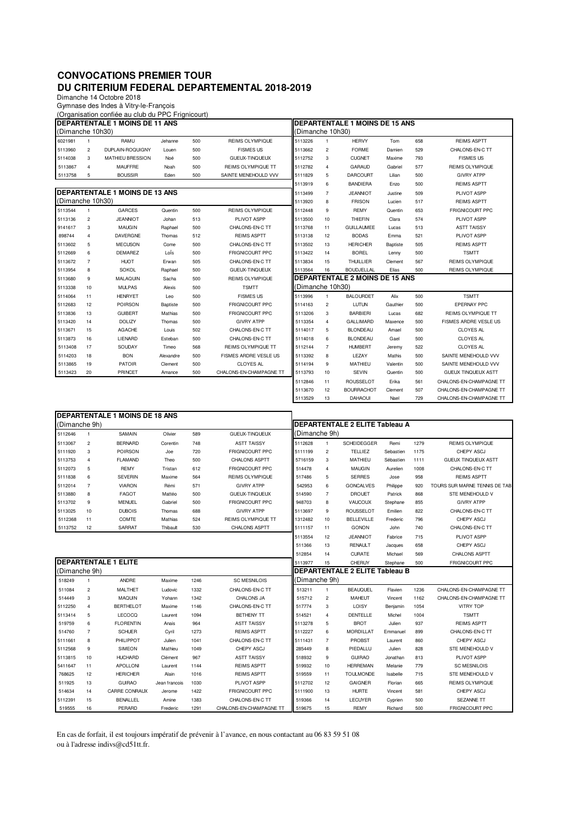## **CONVOCATIONS PREMIER TOUR DU CRITERIUM FEDERAL DEPARTEMENTAL 2018-2019**

Dimanche 14 Octobre 2018

Gymnase des Indes à Vitry-le-François

|                                       |                         | (Organisation confiée au club du PPC Frignicourt) |           |      |                                |                                       |                                       |                                       |           |                    |                               |  |  |
|---------------------------------------|-------------------------|---------------------------------------------------|-----------|------|--------------------------------|---------------------------------------|---------------------------------------|---------------------------------------|-----------|--------------------|-------------------------------|--|--|
|                                       |                         | DEPARTENTALE 1 MOINS DE 11 ANS                    |           |      | DEPARTENTALE 1 MOINS DE 15 ANS |                                       |                                       |                                       |           |                    |                               |  |  |
| (Dimanche 10h30)                      |                         |                                                   |           |      |                                | (Dimanche 10h30)                      |                                       |                                       |           |                    |                               |  |  |
| 6021981                               | $\mathbf{1}$            | RAMU                                              | Jehanne   | 500  | REIMS OLYMPIQUE                | 5113226                               | $\mathbf{1}$                          | <b>HFRVY</b>                          | Tom       | 658                | <b>REIMS ASPTT</b>            |  |  |
| 5113960                               | $\mathbf 2$             | DUPLAIN-ROQUIGNY                                  | Louen     | 500  | <b>FISMES US</b>               | 5113662                               | $\mathbf 2$                           | <b>FORME</b>                          | Damien    | 529                | CHALONS-EN-C TT               |  |  |
| 5114038                               | 3                       | MATHIEU BRESSION                                  | Noé       | 500  | GUEUX-TINQUEUX                 | 5112752                               | 3                                     | <b>CUGNET</b>                         | Maxime    | 793                | <b>FISMES US</b>              |  |  |
| 5113867                               | 4                       | <b>MAUFFRE</b>                                    | Noah      | 500  | REIMS OLYMPIQUE TT             | 5112782                               | $\overline{\mathbf{4}}$               | GARAUD                                | Gabriel   | 577                | REIMS OLYMPIQUE               |  |  |
| 5113758                               | 5                       | <b>BOUSSIR</b>                                    | Fden      | 500  | SAINTE MENEHOULD VVV           | 5111829                               | 5                                     | <b>DARCOURT</b>                       | Lilian    | 500                | <b>GIVRY ATPP</b>             |  |  |
|                                       |                         |                                                   |           |      |                                | 5113919                               | 6                                     | <b>BANDIERA</b>                       | Enzo      | 500                | <b>REIMS ASPTT</b>            |  |  |
| <b>DEPARTENTALE 1 MOINS DE 13 ANS</b> |                         |                                                   |           |      |                                |                                       | $\overline{7}$                        | <b>JEANNIOT</b>                       | Justine   | 509                | PLIVOT ASPP                   |  |  |
| (Dimanche 10h30)                      |                         |                                                   |           |      |                                | 5113920                               | 8                                     | <b>FRISON</b>                         | Lucien    | 517                | <b>REIMS ASPTT</b>            |  |  |
| 5113544                               | 1                       | <b>GARCES</b>                                     | Quentin   | 500  | REIMS OLYMPIQUE                | 5112448                               | 9                                     | <b>REMY</b>                           | Quentin   | 653                | FRIGNICOURT PPC               |  |  |
| 5113136                               | $\overline{\mathbf{c}}$ | <b>JEANNIOT</b>                                   | Johan     | 513  | PLIVOT ASPP                    | 5113500                               | 10                                    | THIEFIN                               | Clara     | 574                | PLIVOT ASPP                   |  |  |
| 9141617                               | 3                       | MAUGIN                                            | Raphael   | 500  | CHALONS-EN-C TT                | 5113768                               | 11                                    | <b>GUILLAUMEE</b>                     | Lucas     | 513                | <b>ASTT TAISSY</b>            |  |  |
| 898744                                | $\overline{\mathbf{4}}$ | DAVERGNE                                          | Thomas    | 512  | <b>REIMS ASPTT</b>             | 5113138                               | 12                                    | <b>BODAS</b>                          | Emma      | 521                | PLIVOT ASPP                   |  |  |
| 5113602                               | 5                       | <b>MECUSON</b>                                    | Come      | 500  | CHALONS-EN-C TT                | 5113502                               | 13<br><b>HERICHER</b><br>Baptiste     |                                       | 505       | <b>REIMS ASPTT</b> |                               |  |  |
| 5112669                               | 6                       | <b>DEMAREZ</b>                                    | LoÏs      | 500  | FRIGNICOURT PPC                | 5113422                               | <b>BOREL</b><br>14                    |                                       | Lenny     | 500                | <b>TSMTT</b>                  |  |  |
| 5113672                               | $\overline{7}$          | <b>HUOT</b>                                       | Erwan     | 505  | CHALONS-EN-C TT                | 5113834                               | 15                                    | <b>THUILLIER</b>                      | Clement   | 567                | REIMS OLYMPIQUE               |  |  |
| 5113954                               | 8                       | <b>SOKOL</b>                                      | Raphael   | 500  | GUEUX-TINQUEUX                 | 5113564                               | 16                                    | <b>BOUDJELLAL</b>                     | Elias     | 500                | REIMS OLYMPIQUE               |  |  |
| 5113680                               | 9                       | MALAQUIN                                          | Sacha     | 500  | REIMS OLYMPIQUE                |                                       | <b>DEPARTENTALE 2 MOINS DE 15 ANS</b> |                                       |           |                    |                               |  |  |
| 5113338                               | 10                      | <b>MULPAS</b>                                     | Alexis    | 500  | <b>TSMTT</b>                   | (Dimanche 10h30)                      |                                       |                                       |           |                    |                               |  |  |
| 5114064                               | 11                      | <b>HENRYET</b>                                    | Leo       | 500  | <b>FISMES US</b>               | 5113996                               | $\mathbf{1}$                          | <b>BALOURDET</b>                      | Alix      | 500                | <b>TSMTT</b>                  |  |  |
| 5112683                               | 12                      | <b>POIRSON</b>                                    | Baptiste  | 500  | FRIGNICOURT PPC                | 5114163                               | $\overline{c}$                        | <b>LUTUN</b>                          | Gauthier  | 500                | EPERNAY PPC                   |  |  |
| 5113836                               | 13                      | <b>GUIBERT</b>                                    | Mathias   | 500  | FRIGNICOURT PPC                | 5113206                               | 3                                     | <b>BARBIERI</b>                       | Lucas     | 682                | REIMS OLYMPIQUE TT            |  |  |
| 5113420                               | 14                      | <b>DOLIZY</b>                                     | Thomas    | 500  | <b>GIVRY ATPP</b>              | 5113354                               | $\sqrt{4}$                            | GALLIMARD                             | Maxence   | 500                | FISMES ARDRE VESLE US         |  |  |
| 5113671                               | 15                      | <b>AGACHE</b>                                     | Louis     | 502  | CHALONS-EN-C TT                | 5114017                               | 5                                     | <b>BLONDEAU</b>                       | Amael     | 500                | <b>CLOYES AL</b>              |  |  |
| 5113873                               | 16                      | LIENARD                                           | Esteban   | 500  | CHALONS-EN-C TT                | 5114018                               | 6                                     | <b>BLONDEAU</b>                       | Gael      | 500                | <b>CLOYES AL</b>              |  |  |
| 5113408                               | 17                      | SOUDAY                                            | Timeo     | 568  | REIMS OLYMPIQUE TT             | 5112144                               | $\overline{7}$                        | <b>HUMBERT</b>                        | Jeremy    | 522                | <b>CLOYES AL</b>              |  |  |
| 5114203                               | 18                      | <b>BON</b>                                        | Alexandre | 500  | FISMES ARDRE VESLE US          | 5113392                               | 8                                     | LEZAY                                 | Mathis    | 500                | SAINTE MENEHOULD VVV          |  |  |
| 5113865                               | 19                      | <b>PATOIR</b>                                     | Clement   | 500  | <b>CLOYES AL</b>               | 5114194                               | 9                                     | <b>MATHIEU</b>                        | Valentin  | 500                | SAINTE MENEHOULD VVV          |  |  |
| 5113423                               | 20                      | PRINCET                                           | Amance    | 500  | CHALONS-EN-CHAMPAGNE TT        | 5113793                               | 10                                    | <b>SEVIN</b>                          | Quentin   | 500                | <b>GUEUX TINQUEUX ASTT</b>    |  |  |
|                                       |                         |                                                   |           |      |                                | 5112846                               | 11                                    | <b>ROUSSELOT</b>                      | Erika     | 561                | CHALONS-EN-CHAMPAGNE TT       |  |  |
|                                       |                         |                                                   |           |      |                                | 5113670                               | 12                                    | <b>BOURRACHOT</b>                     | Clement   | 507                | CHALONS-EN-CHAMPAGNE TT       |  |  |
|                                       |                         |                                                   |           |      |                                | 5113529                               | 13                                    | DAHAOUI                               | Nael      | 729                | CHALONS-EN-CHAMPAGNE TT       |  |  |
|                                       |                         | <b>DEPARTENTALE 1 MOINS DE 18 ANS</b>             |           |      |                                |                                       |                                       |                                       |           |                    |                               |  |  |
| (Dimanche 9h)                         |                         |                                                   |           |      |                                | <b>DEPARTENTALE 2 ELITE Tableau A</b> |                                       |                                       |           |                    |                               |  |  |
| 5112646                               | 1                       | SAMAIN                                            | Olivier   | 589  | GUEUX-TINQUEUX                 | (Dimanche 9h)                         |                                       |                                       |           |                    |                               |  |  |
| 5113067                               | $\overline{c}$          | <b>BERNARD</b>                                    | Corentin  | 748  | <b>ASTT TAISSY</b>             | 5112628                               | $\mathbf{1}$                          | SCHEIDEGGER                           | Remi      | 1279               | REIMS OLYMPIQUE               |  |  |
| 5111920                               | 3                       | <b>POIRSON</b>                                    | Joe       | 720  | FRIGNICOURT PPC                | 5111199                               | $\overline{c}$                        | <b>TELLIEZ</b>                        | Sebastien | 1175               | CHEPY ASCJ                    |  |  |
| 5113753                               | 4                       | <b>FLAMAND</b>                                    | Theo      | 500  | CHALONS ASPTT                  | 5716159                               | 3                                     | MATHIEU                               | Sébastien | 1111               | <b>GUEUX TINQUEUX ASTT</b>    |  |  |
| 5112073                               | 5                       | <b>REMY</b>                                       | Tristan   | 612  | FRIGNICOURT PPC                | 514478                                | $\overline{4}$                        | <b>MAUGIN</b>                         | Aurelien  | 1008               | CHALONS-EN-C TT               |  |  |
| 5111838                               | 6                       | <b>SEVERIN</b>                                    | Maxime    | 564  | REIMS OLYMPIQUE                | 517486                                | 5                                     | <b>SERRES</b>                         | Jose      | 958                | <b>REIMS ASPTT</b>            |  |  |
| 5112014                               | $\overline{7}$          | <b>VIARON</b>                                     | Rémi      | 571  | <b>GIVRY ATPP</b>              | 542953                                | 6                                     | <b>GONCALVES</b>                      | Philippe  | 920                | TOURS SUR MARNE TENNIS DE TAB |  |  |
| 5113880                               | 8                       | <b>FAGOT</b>                                      | Mattéo    | 500  | GUEUX-TINQUEUX                 | 514590                                | $\overline{7}$                        | <b>DROUET</b>                         | Patrick   | 868                | STE MENEHOULD V               |  |  |
| 5113702                               | 9                       | <b>MENUEL</b>                                     | Gabriel   | 500  | FRIGNICOURT PPC                | 948703                                | 8                                     | VAUCOUX                               | Stephane  | 855                | <b>GIVRY ATPP</b>             |  |  |
| 5113025                               | 10                      | <b>DUBOIS</b>                                     | Thomas    | 688  | <b>GIVRY ATPP</b>              | 5113697                               | 9                                     | <b>ROUSSELOT</b>                      | Emilien   | 822                | CHALONS-EN-C TT               |  |  |
| 5112368                               | 11                      | COMTE                                             | Mathias   | 524  | REIMS OLYMPIQUE TT             | 1312482                               | 10                                    | <b>BELLEVILLE</b>                     | Frederic  | 796                | CHEPY ASCJ                    |  |  |
| 5113752                               | 12                      | SARRAT                                            | Thibault  | 530  | CHALONS ASPTT                  | 5111157                               | 11                                    | <b>GONON</b>                          | .John     | 740                | CHALONS-EN-C TT               |  |  |
|                                       |                         |                                                   |           |      |                                | 5113554                               | 12                                    | <b>JEANNIOT</b>                       | Fabrice   | 715                | PLIVOT ASPP                   |  |  |
|                                       |                         |                                                   |           |      |                                | 511366                                | 13                                    | <b>RENAULT</b>                        | Jacques   | 658                | CHEPY ASCJ                    |  |  |
|                                       |                         |                                                   |           |      |                                | 512854                                | 14                                    | <b>CURATE</b>                         | Michael   | 569                | CHALONS ASPTT                 |  |  |
|                                       |                         | <b>DEPARTENTALE 1 ELITE</b>                       |           |      | 5113977                        | 15                                    | CHERUY                                | Stephane                              | 500       | FRIGNICOURT PPC    |                               |  |  |
| (Dimanche 9h)                         |                         |                                                   |           |      |                                |                                       |                                       | <b>DEPARTENTALE 2 ELITE Tableau B</b> |           |                    |                               |  |  |
| 518249                                | $\mathbf{1}$            | ANDRE                                             | Maxime    | 1246 | <b>SC MESNILOIS</b>            | (Dimanche 9h)                         |                                       |                                       |           |                    |                               |  |  |
| 511084                                | $\overline{\mathbf{c}}$ | <b>MALTHET</b>                                    | Ludovic   | 1332 | CHALONS-EN-C TT                | 513211                                | $\mathbf{1}$                          | <b>BEAUQUEL</b>                       | Flavien   | 1236               | CHALONS-EN-CHAMPAGNE TT       |  |  |
| 514449                                | 3                       | <b>MAQUIN</b>                                     | Yohann    | 1342 | CHALONS JA                     | 515712                                | $\overline{\mathbf{c}}$               | <b>MAHEUT</b>                         | Vincent   | 1162               | CHALONS-EN-CHAMPAGNE TT       |  |  |

5112250 4 BERTHELOT Maxime 1146 CHALONS-EN-C TT 517774 3 LOISY Benjamin 1054 VITRY TOP 5113414 5 LECOCQ Laurent 1094 BETHENY TT 514521 4 DENTELLE Michel 1004 TSMTT 519759 6 FLORENTIN Anais 964 ASTT TAISSY 5113278 5 BROT Julien 937 REIMS ASPTT 514760 7 SCHUER Cyril 1273 REIMS ASPTT 5112227 6 MORDILLAT Emmanuel 899 CHALONS-EN-C TT 5111661 8 PHILIPPOT Julien 1041 CHALONS-EN-C TT 5111431 7 PROBST Laurent 860 CHEPY ASCJ 5112568 9 SIMEON Mathieu 1049 CHEPY ASCJ 285449 8 PIEDALLU Julien 828 STE MENEHOULD V 5113815 10 HUCHARD Clément 967 ASTTTAISSY 518932 9 GUIRAO Jonathan 813 PLIVOT ASPP 5411647 11 APOLLONI Laurent 1144 REIMS ASPTT | 519932 10 HERREMAN Melanie 779 SC MESNILOIS 768625 12 HERICHER Alain 1016 REIMS ASPTT 519559 11 TOULMONDE Isabelle 715 STE MENEHOULD V 511925 13 GUIRAO Jean francois 1030 PLIVOT ASPP 5112702 12 GAIGNER Florian 665 REIMS OLYMPIQUE<br>514634 14 CARRECONRAUX Jerome 1422 FRIGNICOURT PPC 5111900 13 HURTE Vincent 581 CHEPY ASCJ

| 514634  | 14 | CARRE CONRAUX | Jerome   | 1422 | <b>FRIGNICOURT PPC</b>                                                                                    | 5111900 | 13 | <b>HURTE</b>   | Vincent | 581 | CHEPY ASCJ             |
|---------|----|---------------|----------|------|-----------------------------------------------------------------------------------------------------------|---------|----|----------------|---------|-----|------------------------|
| 5112391 | 15 | BENALLEL      | Amine    | 1383 | CHALONS-EN-C TT                                                                                           | 519366  | 14 | <b>LECUYER</b> | Cvprien | 500 | <b>SEZANNE TT</b>      |
| 519555  | 16 | PERARD        | Frederic | 1291 | CHALONS-EN-CHAMPAGNE TT                                                                                   | 519675  | 15 | <b>REMY</b>    | Richard | 500 | <b>FRIGNICOURT PPC</b> |
|         |    |               |          |      |                                                                                                           |         |    |                |         |     |                        |
|         |    |               |          |      |                                                                                                           |         |    |                |         |     |                        |
|         |    |               |          |      | En cas de forfait, il est toujours impératif de prévenir à l'avance, en nous contactant au 06 83 59 51 08 |         |    |                |         |     |                        |
|         |    |               |          |      |                                                                                                           |         |    |                |         |     |                        |

ou à l'adresse indivs@cd51tt.fr.